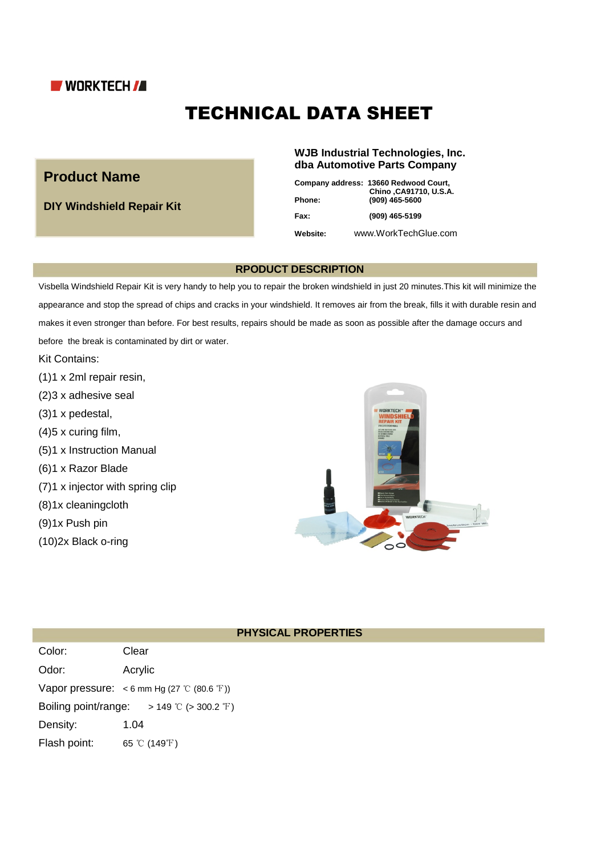

# TECHNICAL DATA SHEET

# **Product Name**

**DIY Windshield Repair Kit**

### **WJB Industrial Technologies, Inc. dba Automotive Parts Company**

| <b>Phone:</b> | Company address: 13660 Redwood Court,<br>Chino , CA91710, U.S.A.<br>(909) 465-5600 |
|---------------|------------------------------------------------------------------------------------|
| Fax:          | (909) 465-5199                                                                     |
| Website:      | www.WorkTechGlue.com                                                               |

#### **RPODUCT DESCRIPTION**

Visbella Windshield Repair Kit is very handy to help you to repair the broken windshield in just 20 minutes.This kit will minimize the appearance and stop the spread of chips and cracks in your windshield. It removes air from the break, fills it with durable resin and makes it even stronger than before. For best results, repairs should be made as soon as possible after the damage occurs and before the break is contaminated by dirt or water.

Kit Contains:

- (1)1 x 2ml repair resin,
- (2)3 x adhesive seal
- (3)1 x pedestal,
- (4)5 x curing film,
- (5)1 x Instruction Manual
- (6)1 x Razor Blade
- (7)1 x injector with spring clip
- (8)1x cleaningcloth
- (9)1x Push pin
- (10)2x Black o-ring



#### **PHYSICAL PROPERTIES**

| Color:               | Clear                                         |
|----------------------|-----------------------------------------------|
| Odor:                | Acrylic                                       |
|                      | Vapor pressure: $<$ 6 mm Hg (27 °C (80.6 °F)) |
| Boiling point/range: | > 149 ℃ (> 300.2 °F)                          |
| Density:             | 1.04                                          |
| Flash point:         | 65 °C (149°F)                                 |